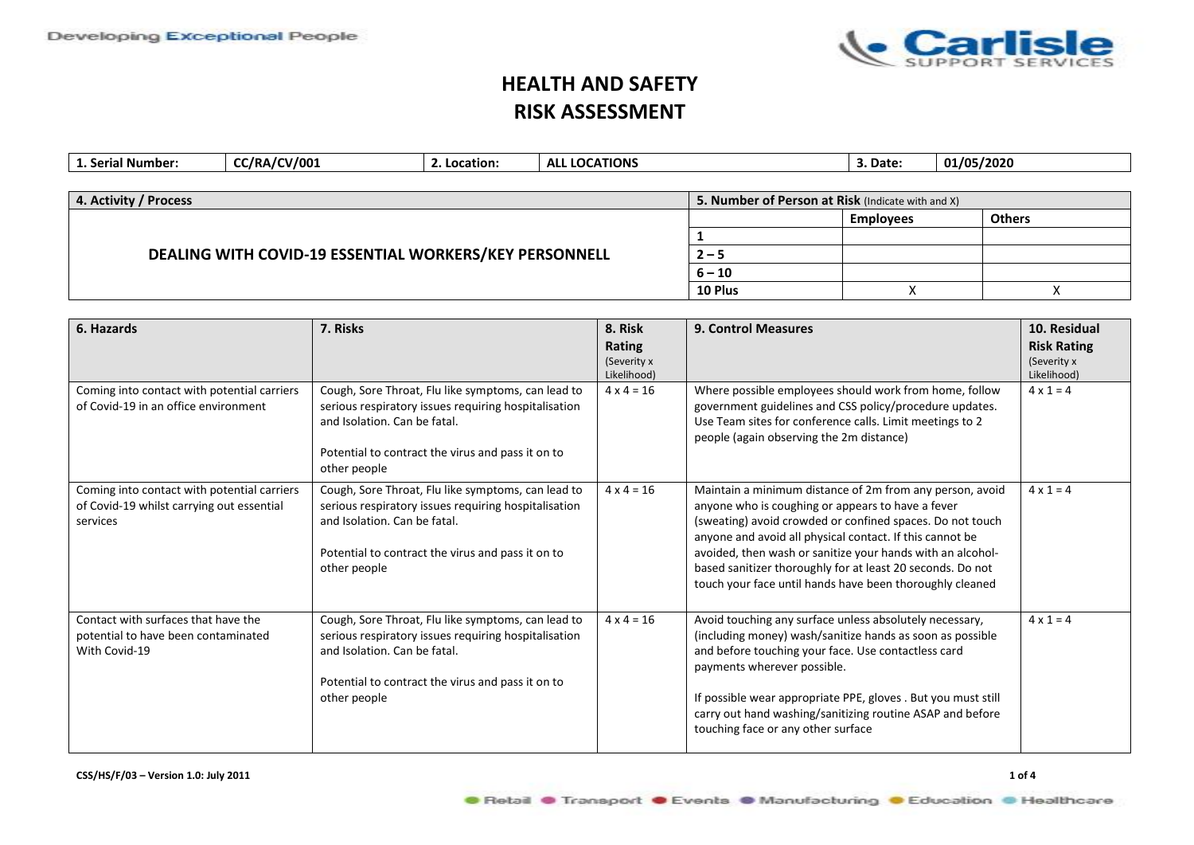

## **HEALTH AND SAFETY RISK ASSESSMENT**

| <b>Serial Number:</b> | <b>CC/RA/CV/001</b> | 2. Location: | <b>ALL LOCATIONS</b> |                                               | 3. Date: | 01/05/2020 |
|-----------------------|---------------------|--------------|----------------------|-----------------------------------------------|----------|------------|
|                       |                     |              |                      |                                               |          |            |
| Activity / Drococc    |                     |              |                      | Number of Dorson at Disk Undiasta with and Vi |          |            |

| $\rightarrow$ . ACLIVILY / FIUCCSS                     | <b>3. NUTTINGLY OF FIGURE AT INSK (THUILDER WILLI BILLY)</b> |                  |               |
|--------------------------------------------------------|--------------------------------------------------------------|------------------|---------------|
|                                                        |                                                              | <b>Employees</b> | <b>Others</b> |
|                                                        |                                                              |                  |               |
| DEALING WITH COVID-19 ESSENTIAL WORKERS/KEY PERSONNELL | $2 - 5$                                                      |                  |               |
|                                                        | $6 - 10$                                                     |                  |               |
|                                                        | 10 Plus                                                      |                  |               |

| 6. Hazards                                                                                           | 7. Risks                                                                                                                                                                                                        | 8. Risk                              | <b>9. Control Measures</b>                                                                                                                                                                                                                                                                                                                                                                                                     | 10. Residual                                     |
|------------------------------------------------------------------------------------------------------|-----------------------------------------------------------------------------------------------------------------------------------------------------------------------------------------------------------------|--------------------------------------|--------------------------------------------------------------------------------------------------------------------------------------------------------------------------------------------------------------------------------------------------------------------------------------------------------------------------------------------------------------------------------------------------------------------------------|--------------------------------------------------|
|                                                                                                      |                                                                                                                                                                                                                 | Rating<br>(Severity x<br>Likelihood) |                                                                                                                                                                                                                                                                                                                                                                                                                                | <b>Risk Rating</b><br>(Severity x<br>Likelihood) |
| Coming into contact with potential carriers<br>of Covid-19 in an office environment                  | Cough, Sore Throat, Flu like symptoms, can lead to<br>serious respiratory issues requiring hospitalisation<br>and Isolation. Can be fatal.<br>Potential to contract the virus and pass it on to<br>other people | $4 \times 4 = 16$                    | Where possible employees should work from home, follow<br>government guidelines and CSS policy/procedure updates.<br>Use Team sites for conference calls. Limit meetings to 2<br>people (again observing the 2m distance)                                                                                                                                                                                                      | $4 \times 1 = 4$                                 |
| Coming into contact with potential carriers<br>of Covid-19 whilst carrying out essential<br>services | Cough, Sore Throat, Flu like symptoms, can lead to<br>serious respiratory issues requiring hospitalisation<br>and Isolation. Can be fatal.<br>Potential to contract the virus and pass it on to<br>other people | $4 \times 4 = 16$                    | Maintain a minimum distance of 2m from any person, avoid<br>anyone who is coughing or appears to have a fever<br>(sweating) avoid crowded or confined spaces. Do not touch<br>anyone and avoid all physical contact. If this cannot be<br>avoided, then wash or sanitize your hands with an alcohol-<br>based sanitizer thoroughly for at least 20 seconds. Do not<br>touch your face until hands have been thoroughly cleaned | $4 \times 1 = 4$                                 |
| Contact with surfaces that have the<br>potential to have been contaminated<br>With Covid-19          | Cough, Sore Throat, Flu like symptoms, can lead to<br>serious respiratory issues requiring hospitalisation<br>and Isolation. Can be fatal.<br>Potential to contract the virus and pass it on to<br>other people | $4 \times 4 = 16$                    | Avoid touching any surface unless absolutely necessary,<br>(including money) wash/sanitize hands as soon as possible<br>and before touching your face. Use contactless card<br>payments wherever possible.<br>If possible wear appropriate PPE, gloves . But you must still<br>carry out hand washing/sanitizing routine ASAP and before<br>touching face or any other surface                                                 | $4 \times 1 = 4$                                 |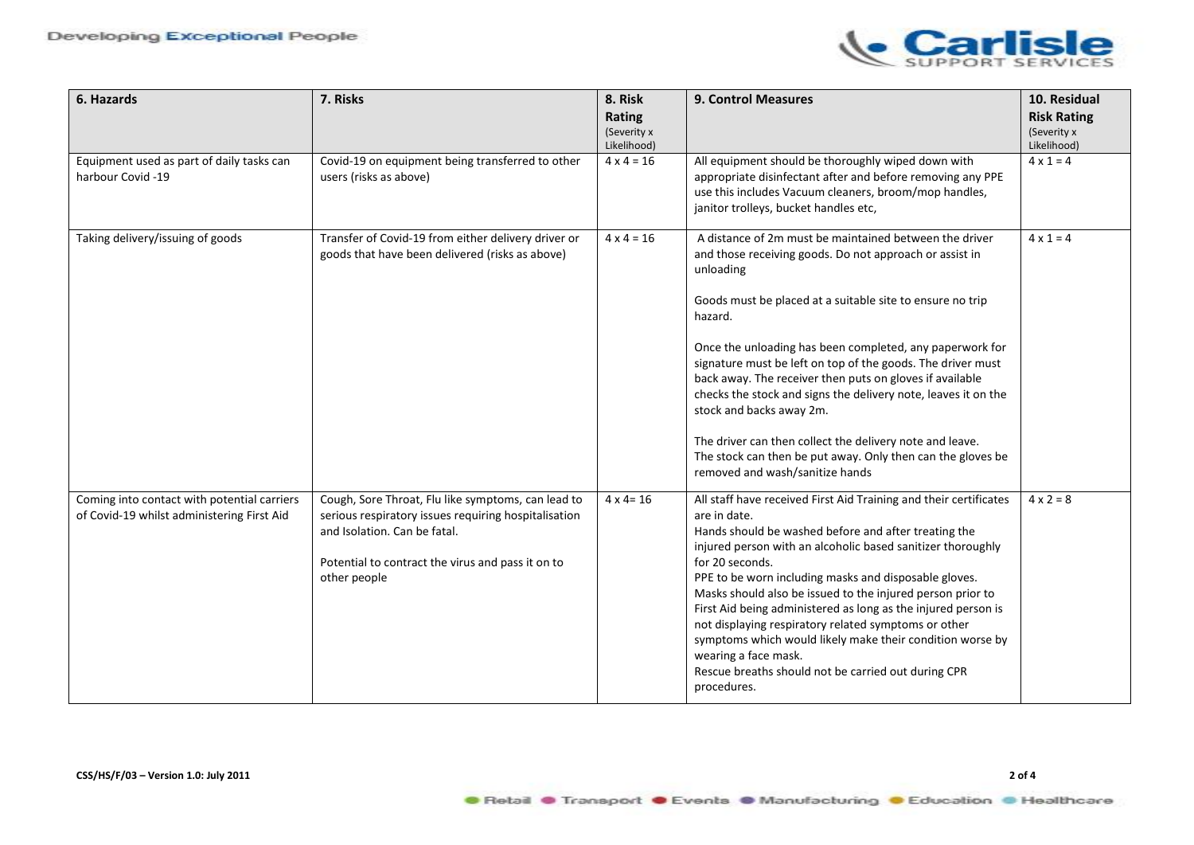

| 6. Hazards                                                                                | 7. Risks                                                                                                                                                                                                        | 8. Risk<br>Rating          | <b>9. Control Measures</b>                                                                                                                                                                                                                                                                                                                                                                                                                                                                                                                                                                                                                                | 10. Residual<br><b>Risk Rating</b> |
|-------------------------------------------------------------------------------------------|-----------------------------------------------------------------------------------------------------------------------------------------------------------------------------------------------------------------|----------------------------|-----------------------------------------------------------------------------------------------------------------------------------------------------------------------------------------------------------------------------------------------------------------------------------------------------------------------------------------------------------------------------------------------------------------------------------------------------------------------------------------------------------------------------------------------------------------------------------------------------------------------------------------------------------|------------------------------------|
|                                                                                           |                                                                                                                                                                                                                 | (Severity x<br>Likelihood) |                                                                                                                                                                                                                                                                                                                                                                                                                                                                                                                                                                                                                                                           | (Severity x<br>Likelihood)         |
| Equipment used as part of daily tasks can<br>harbour Covid -19                            | Covid-19 on equipment being transferred to other<br>users (risks as above)                                                                                                                                      | $4 \times 4 = 16$          | All equipment should be thoroughly wiped down with<br>appropriate disinfectant after and before removing any PPE<br>use this includes Vacuum cleaners, broom/mop handles,<br>janitor trolleys, bucket handles etc,                                                                                                                                                                                                                                                                                                                                                                                                                                        | $4 \times 1 = 4$                   |
| Taking delivery/issuing of goods                                                          | Transfer of Covid-19 from either delivery driver or<br>goods that have been delivered (risks as above)                                                                                                          | $4 \times 4 = 16$          | A distance of 2m must be maintained between the driver<br>and those receiving goods. Do not approach or assist in<br>unloading<br>Goods must be placed at a suitable site to ensure no trip<br>hazard.<br>Once the unloading has been completed, any paperwork for<br>signature must be left on top of the goods. The driver must<br>back away. The receiver then puts on gloves if available<br>checks the stock and signs the delivery note, leaves it on the<br>stock and backs away 2m.<br>The driver can then collect the delivery note and leave.<br>The stock can then be put away. Only then can the gloves be<br>removed and wash/sanitize hands | $4 \times 1 = 4$                   |
| Coming into contact with potential carriers<br>of Covid-19 whilst administering First Aid | Cough, Sore Throat, Flu like symptoms, can lead to<br>serious respiratory issues requiring hospitalisation<br>and Isolation. Can be fatal.<br>Potential to contract the virus and pass it on to<br>other people | $4 \times 4 = 16$          | All staff have received First Aid Training and their certificates<br>are in date.<br>Hands should be washed before and after treating the<br>injured person with an alcoholic based sanitizer thoroughly<br>for 20 seconds.<br>PPE to be worn including masks and disposable gloves.<br>Masks should also be issued to the injured person prior to<br>First Aid being administered as long as the injured person is<br>not displaying respiratory related symptoms or other<br>symptoms which would likely make their condition worse by<br>wearing a face mask.<br>Rescue breaths should not be carried out during CPR<br>procedures.                    | $4 \times 2 = 8$                   |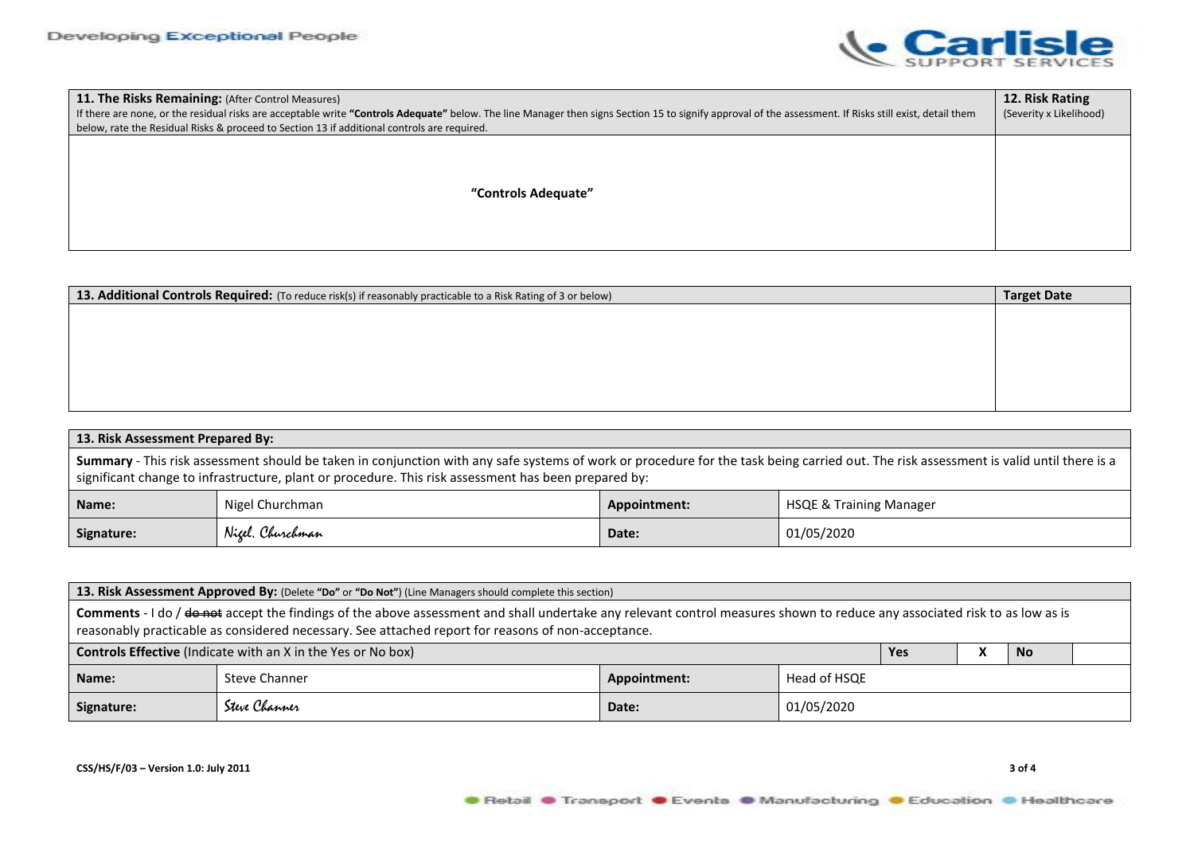

| 11. The Risks Remaining: (After Control Measures)<br>If there are none, or the residual risks are acceptable write "Controls Adequate" below. The line Manager then signs Section 15 to signify approval of the assessment. If Risks still exist, detail them<br>below, rate the Residual Risks & proceed to Section 13 if additional controls are required. |  |
|--------------------------------------------------------------------------------------------------------------------------------------------------------------------------------------------------------------------------------------------------------------------------------------------------------------------------------------------------------------|--|
| "Controls Adequate"                                                                                                                                                                                                                                                                                                                                          |  |

| 13. Additional Controls Required: (To reduce risk(s) if reasonably practicable to a Risk Rating of 3 or below) | <b>Target Date</b> |
|----------------------------------------------------------------------------------------------------------------|--------------------|
|                                                                                                                |                    |
|                                                                                                                |                    |
|                                                                                                                |                    |
|                                                                                                                |                    |
|                                                                                                                |                    |
|                                                                                                                |                    |

| 13. Risk Assessment Prepared By:                                                                                                                                                                                                                                                               |                                                                       |       |            |  |  |
|------------------------------------------------------------------------------------------------------------------------------------------------------------------------------------------------------------------------------------------------------------------------------------------------|-----------------------------------------------------------------------|-------|------------|--|--|
| Summary - This risk assessment should be taken in conjunction with any safe systems of work or procedure for the task being carried out. The risk assessment is valid until there is a<br>significant change to infrastructure, plant or procedure. This risk assessment has been prepared by: |                                                                       |       |            |  |  |
| Name:                                                                                                                                                                                                                                                                                          | Nigel Churchman<br><b>HSQE &amp; Training Manager</b><br>Appointment: |       |            |  |  |
| Signature:                                                                                                                                                                                                                                                                                     | Nicel. Churchman                                                      | Date: | 01/05/2020 |  |  |

| 13. Risk Assessment Approved By: (Delete "Do" or "Do Not") (Line Managers should complete this section)                                                                                                                                                                                     |               |       |            |  |  |  |  |
|---------------------------------------------------------------------------------------------------------------------------------------------------------------------------------------------------------------------------------------------------------------------------------------------|---------------|-------|------------|--|--|--|--|
| Comments - I do / <del>do not</del> accept the findings of the above assessment and shall undertake any relevant control measures shown to reduce any associated risk to as low as is<br>reasonably practicable as considered necessary. See attached report for reasons of non-acceptance. |               |       |            |  |  |  |  |
| <b>Controls Effective</b> (Indicate with an X in the Yes or No box)<br><b>Yes</b><br><b>No</b>                                                                                                                                                                                              |               |       |            |  |  |  |  |
| Head of HSQE<br><b>Steve Channer</b><br>Appointment:<br>Name:                                                                                                                                                                                                                               |               |       |            |  |  |  |  |
| Signature:                                                                                                                                                                                                                                                                                  | Steve Channer | Date: | 01/05/2020 |  |  |  |  |

**CSS/HS/F/03 – Version 1.0: July 2011 3 of 4**